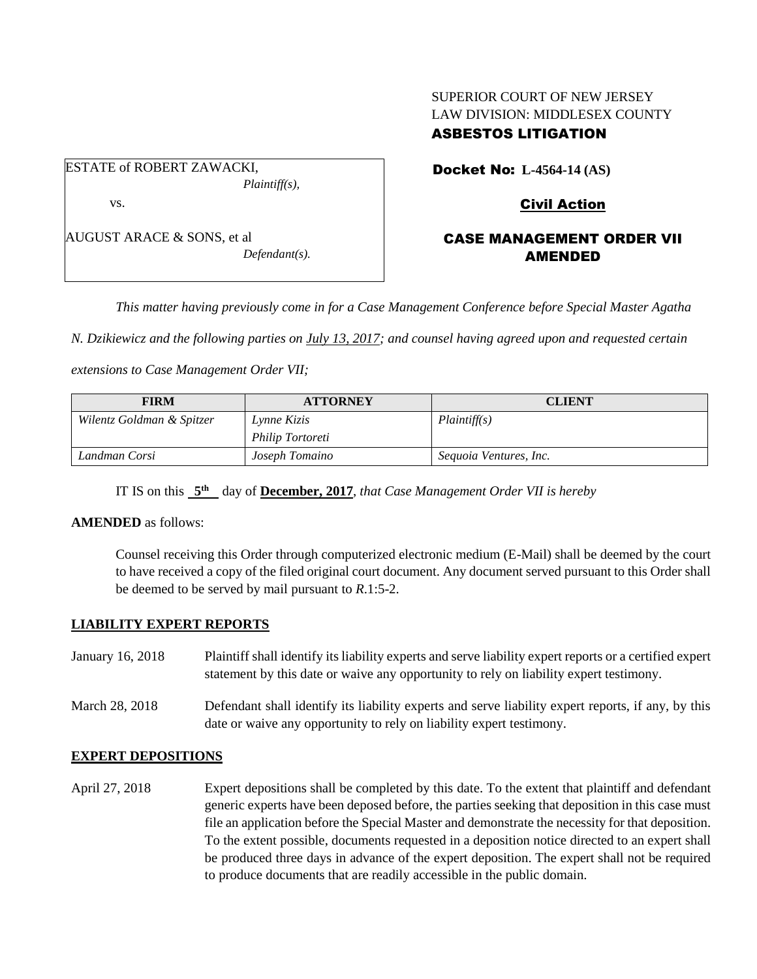## SUPERIOR COURT OF NEW JERSEY LAW DIVISION: MIDDLESEX COUNTY ASBESTOS LITIGATION

ESTATE of ROBERT ZAWACKI, *Plaintiff(s),* vs.

AUGUST ARACE & SONS, et al *Defendant(s).* Docket No: **L-4564-14 (AS)** 

## Civil Action

## CASE MANAGEMENT ORDER VII AMENDED

*This matter having previously come in for a Case Management Conference before Special Master Agatha* 

*N. Dzikiewicz and the following parties on July 13, 2017; and counsel having agreed upon and requested certain* 

*extensions to Case Management Order VII;*

| <b>FIRM</b>               | <b>ATTORNEY</b>  | <b>CLIENT</b>          |
|---------------------------|------------------|------------------------|
| Wilentz Goldman & Spitzer | Lynne Kizis      | Plaintiff(s)           |
|                           | Philip Tortoreti |                        |
| Landman Corsi             | Joseph Tomaino   | Sequoia Ventures, Inc. |

IT IS on this **5 th** day of **December, 2017**, *that Case Management Order VII is hereby*

#### **AMENDED** as follows:

Counsel receiving this Order through computerized electronic medium (E-Mail) shall be deemed by the court to have received a copy of the filed original court document. Any document served pursuant to this Order shall be deemed to be served by mail pursuant to *R*.1:5-2.

#### **LIABILITY EXPERT REPORTS**

| January 16, 2018 | Plaintiff shall identify its liability experts and serve liability expert reports or a certified expert<br>statement by this date or waive any opportunity to rely on liability expert testimony. |
|------------------|---------------------------------------------------------------------------------------------------------------------------------------------------------------------------------------------------|
| March 28, 2018   | Defendant shall identify its liability experts and serve liability expert reports, if any, by this<br>date or waive any opportunity to rely on liability expert testimony.                        |

#### **EXPERT DEPOSITIONS**

April 27, 2018 Expert depositions shall be completed by this date. To the extent that plaintiff and defendant generic experts have been deposed before, the parties seeking that deposition in this case must file an application before the Special Master and demonstrate the necessity for that deposition. To the extent possible, documents requested in a deposition notice directed to an expert shall be produced three days in advance of the expert deposition. The expert shall not be required to produce documents that are readily accessible in the public domain.